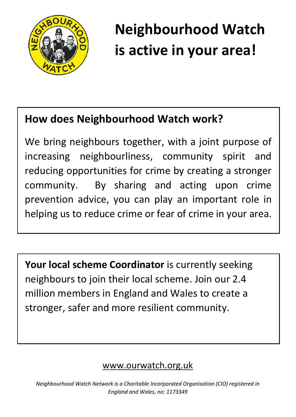

# **Neighbourhood Watch is active in your area!**

## **How does Neighbourhood Watch work?**

We bring neighbours together, with a joint purpose of increasing neighbourliness, community spirit and reducing opportunities for crime by creating a stronger community. By sharing and acting upon crime prevention advice, you can play an important role in helping us to reduce crime or fear of crime in your area.

**Your local scheme Coordinator** is currently seeking neighbours to join their local scheme. Join our 2.4 million members in England and Wales to create a stronger, safer and more resilient community.

#### www.ourwatch.org.uk

*Neighbourhood Watch Network is a Charitable Incorporated Organisation (CIO) registered in England and Wales, no: 1173349*